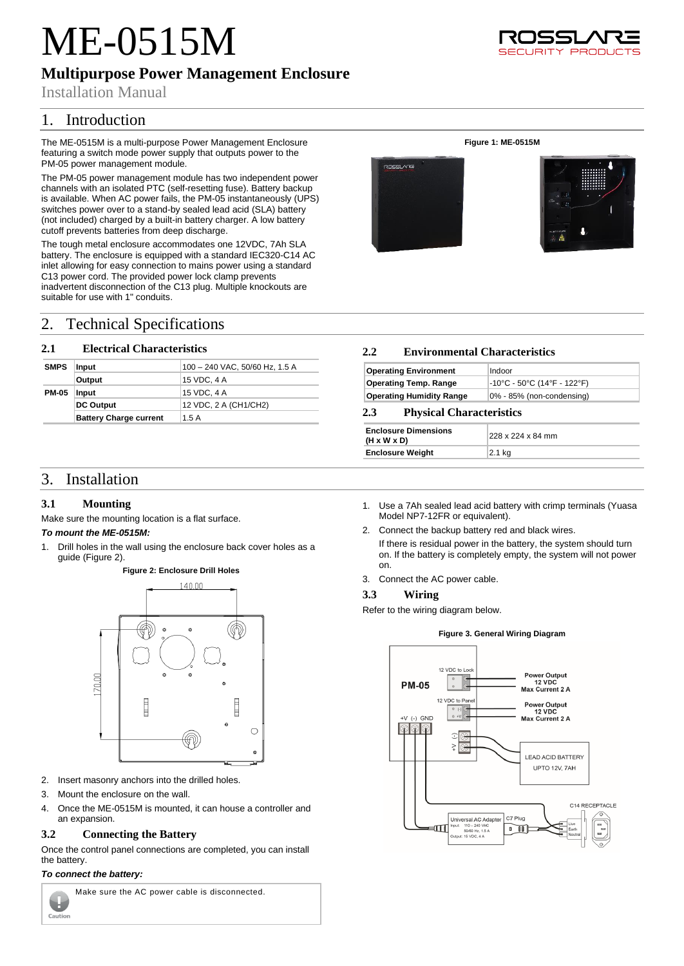# ME-0515M

# **Multipurpose Power Management Enclosure**

Installation Manual

# 1. Introduction

The ME-0515M is a multi-purpose Power Management Enclosure featuring a switch mode power supply that outputs power to the PM-05 power management module.

The PM-05 power management module has two independent power channels with an isolated PTC (self-resetting fuse). Battery backup is available. When AC power fails, the PM-05 instantaneously (UPS) switches power over to a stand-by sealed lead acid (SLA) battery (not included) charged by a built-in battery charger. A low battery cutoff prevents batteries from deep discharge.

The tough metal enclosure accommodates one 12VDC, 7Ah SLA battery. The enclosure is equipped with a standard IEC320-C14 AC inlet allowing for easy connection to mains power using a standard C13 power cord. The provided power lock clamp prevents inadvertent disconnection of the C13 plug. Multiple knockouts are suitable for use with 1" conduits.

# 2. Technical Specifications

### **2.1 Electrical Characteristics**

| <b>SMPS</b>  | Input                         | 100 - 240 VAC, 50/60 Hz, 1.5 A |
|--------------|-------------------------------|--------------------------------|
|              | Output                        | 15 VDC, 4 A                    |
| <b>PM-05</b> | Input                         | 15 VDC, 4 A                    |
|              | <b>DC Output</b>              | 12 VDC, 2 A (CH1/CH2)          |
|              | <b>Battery Charge current</b> | 1.5A                           |

## 3. Installation

### **3.1 Mounting**

Make sure the mounting location is a flat surface.

### *To mount the ME-0515M:*

<span id="page-0-0"></span>1. Drill holes in the wall using the enclosure back cover holes as a guide [\(Figure 2\)](#page-0-0).





- 2. Insert masonry anchors into the drilled holes.
- 3. Mount the enclosure on the wall.
- 4. Once the ME-0515M is mounted, it can house a controller and an expansion.

### **3.2 Connecting the Battery**

Once the control panel connections are completed, you can install the battery.

### *To connect the battery:*

Caution



Make sure the AC power cable is disconnected.

- 1. Use a 7Ah sealed lead acid battery with crimp terminals (Yuasa Model NP7-12FR or equivalent).
- 2. Connect the backup battery red and black wires.
	- If there is residual power in the battery, the system should turn on. If the battery is completely empty, the system will not power on.
- 3. Connect the AC power cable.

### **3.3 Wiring**

Refer to the wiring diagram below.





Y PRODI





# **2.2 Environmental Characteristics**

| <b>Operating Environment</b>    | Indoor                                |
|---------------------------------|---------------------------------------|
| <b>Operating Temp. Range</b>    | $-10^{\circ}$ C - 50°C (14°F - 122°F) |
| <b>Operating Humidity Range</b> | 0% - 85% (non-condensing)             |

**Figure 1: ME-0515M**

### **2.3 Physical Characteristics**

| <b>Enclosure Dimensions</b><br>$(H \times W \times D)$ | 228 x 224 x 84 mm |
|--------------------------------------------------------|-------------------|
| <b>Enclosure Weight</b>                                | 2.1 kg            |